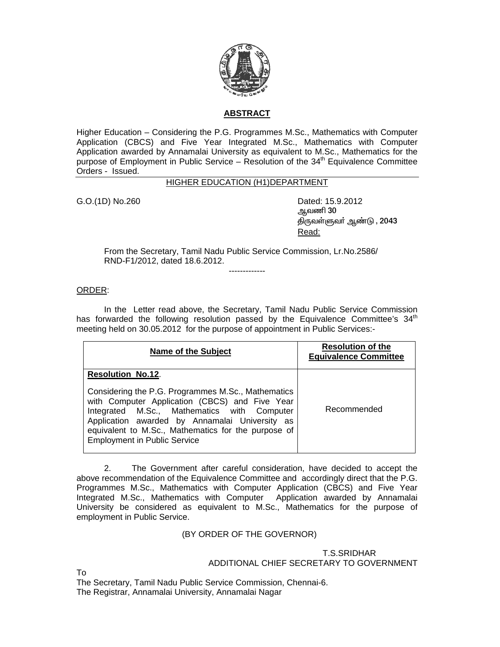

## **ABSTRACT**

Higher Education – Considering the P.G. Programmes M.Sc., Mathematics with Computer Application (CBCS) and Five Year Integrated M.Sc., Mathematics with Computer Application awarded by Annamalai University as equivalent to M.Sc., Mathematics for the purpose of Employment in Public Service – Resolution of the  $34<sup>th</sup>$  Equivalence Committee Orders - Issued.

## HIGHER EDUCATION (H1)DEPARTMENT

G.O.(1D) No.260 Dated: 15.9.2012

ஆவணி 30 திருவள்ளுவா் ஆண்டு , 2043 <u>Read: http://www.information.com/information.com/information.com</u>

From the Secretary, Tamil Nadu Public Service Commission, Lr.No.2586/ RND-F1/2012, dated 18.6.2012.

-------------

## ORDER:

 In the Letter read above, the Secretary, Tamil Nadu Public Service Commission has forwarded the following resolution passed by the Equivalence Committee's  $34<sup>th</sup>$ meeting held on 30.05.2012 for the purpose of appointment in Public Services:-

| Name of the Subject                                                                                                                                                                                                                                                                                                             | <b>Resolution of the</b><br><b>Equivalence Committee</b> |
|---------------------------------------------------------------------------------------------------------------------------------------------------------------------------------------------------------------------------------------------------------------------------------------------------------------------------------|----------------------------------------------------------|
| <b>Resolution No.12.</b><br>Considering the P.G. Programmes M.Sc., Mathematics<br>with Computer Application (CBCS) and Five Year<br>Integrated M.Sc., Mathematics with Computer<br>Application awarded by Annamalai University as<br>equivalent to M.Sc., Mathematics for the purpose of<br><b>Employment in Public Service</b> | Recommended                                              |

2. The Government after careful consideration, have decided to accept the above recommendation of the Equivalence Committee and accordingly direct that the P.G. Programmes M.Sc., Mathematics with Computer Application (CBCS) and Five Year Integrated M.Sc., Mathematics with Computer Application awarded by Annamalai University be considered as equivalent to M.Sc., Mathematics for the purpose of employment in Public Service.

## (BY ORDER OF THE GOVERNOR)

 T.S.SRIDHAR ADDITIONAL CHIEF SECRETARY TO GOVERNMENT

To

The Secretary, Tamil Nadu Public Service Commission, Chennai-6. The Registrar, Annamalai University, Annamalai Nagar